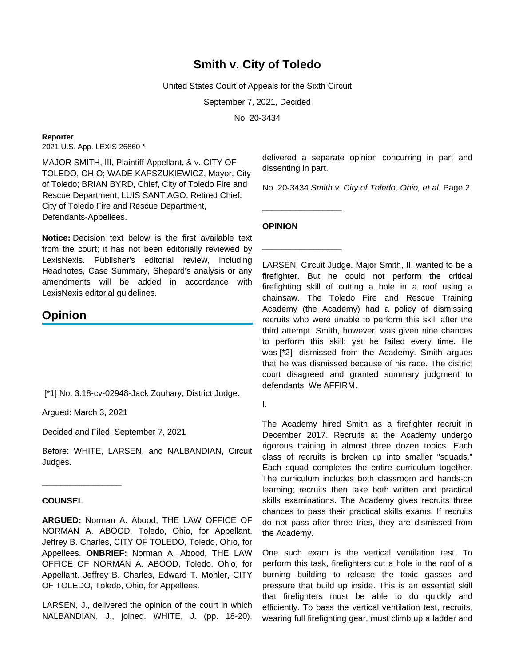# **Smith v. City of Toledo**

United States Court of Appeals for the Sixth Circuit

September 7, 2021, Decided

No. 20-3434

#### **Reporter**

2021 U.S. App. LEXIS 26860 \*

MAJOR SMITH, III, Plaintiff-Appellant, & v. CITY OF TOLEDO, OHIO; WADE KAPSZUKIEWICZ, Mayor, City of Toledo; BRIAN BYRD, Chief, City of Toledo Fire and Rescue Department; LUIS SANTIAGO, Retired Chief, City of Toledo Fire and Rescue Department, Defendants-Appellees.

**Notice:** Decision text below is the first available text from the court; it has not been editorially reviewed by LexisNexis. Publisher's editorial review, including Headnotes, Case Summary, Shepard's analysis or any amendments will be added in accordance with LexisNexis editorial quidelines.

## **Opinion**

[\*1] No. 3:18-cv-02948-Jack Zouhary, District Judge.

Argued: March 3, 2021

\_\_\_\_\_\_\_\_\_\_\_\_\_\_\_\_\_

Decided and Filed: September 7, 2021

Before: WHITE, LARSEN, and NALBANDIAN, Circuit Judges.

## **COUNSEL**

**ARGUED:** Norman A. Abood, THE LAW OFFICE OF NORMAN A. ABOOD, Toledo, Ohio, for Appellant. Jeffrey B. Charles, CITY OF TOLEDO, Toledo, Ohio, for Appellees. **ONBRIEF:** Norman A. Abood, THE LAW OFFICE OF NORMAN A. ABOOD, Toledo, Ohio, for Appellant. Jeffrey B. Charles, Edward T. Mohler, CITY OF TOLEDO, Toledo, Ohio, for Appellees.

LARSEN, J., delivered the opinion of the court in which NALBANDIAN, J., joined. WHITE, J. (pp. 18-20),

delivered a separate opinion concurring in part and dissenting in part.

No. 20-3434 Smith v. City of Toledo, Ohio, et al. Page 2

### **OPINION**

\_\_\_\_\_\_\_\_\_\_\_\_\_\_\_\_\_

\_\_\_\_\_\_\_\_\_\_\_\_\_\_\_\_\_

LARSEN, Circuit Judge. Major Smith, III wanted to be a firefighter. But he could not perform the critical firefighting skill of cutting a hole in a roof using a chainsaw. The Toledo Fire and Rescue Training Academy (the Academy) had a policy of dismissing recruits who were unable to perform this skill after the third attempt. Smith, however, was given nine chances to perform this skill; yet he failed every time. He was [\*2] dismissed from the Academy. Smith argues that he was dismissed because of his race. The district court disagreed and granted summary judgment to defendants. We AFFIRM.

I.

The Academy hired Smith as a firefighter recruit in December 2017. Recruits at the Academy undergo rigorous training in almost three dozen topics. Each class of recruits is broken up into smaller "squads." Each squad completes the entire curriculum together. The curriculum includes both classroom and hands-on learning; recruits then take both written and practical skills examinations. The Academy gives recruits three chances to pass their practical skills exams. If recruits do not pass after three tries, they are dismissed from the Academy.

One such exam is the vertical ventilation test. To perform this task, firefighters cut a hole in the roof of a burning building to release the toxic gasses and pressure that build up inside. This is an essential skill that firefighters must be able to do quickly and efficiently. To pass the vertical ventilation test, recruits, wearing full firefighting gear, must climb up a ladder and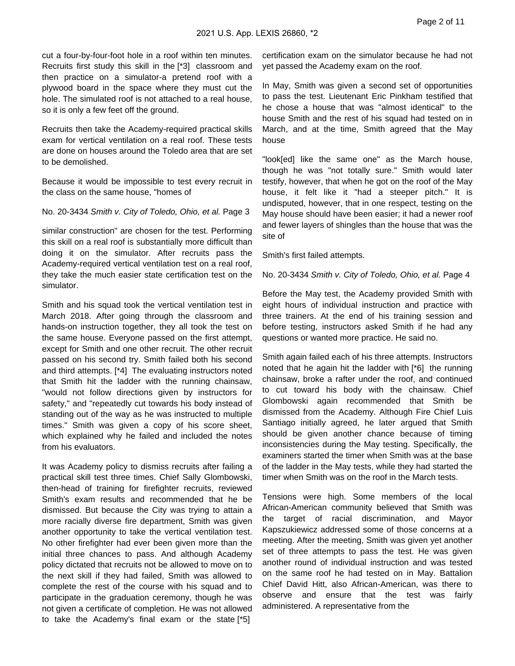cut a four-by-four-foot hole in a roof within ten minutes. Recruits first study this skill in the [\*3] classroom and then practice on a simulator-a pretend roof with a plywood board in the space where they must cut the hole. The simulated roof is not attached to a real house, so it is only a few feet off the ground.

Recruits then take the Academy-required practical skills exam for vertical ventilation on a real roof. These tests are done on houses around the Toledo area that are set to be demolished.

Because it would be impossible to test every recruit in the class on the same house, "homes of

No. 20-3434 Smith v. City of Toledo, Ohio, et al. Page 3

similar construction" are chosen for the test. Performing this skill on a real roof is substantially more difficult than doing it on the simulator. After recruits pass the Academy-required vertical ventilation test on a real roof, they take the much easier state certification test on the simulator.

Smith and his squad took the vertical ventilation test in March 2018. After going through the classroom and hands-on instruction together, they all took the test on the same house. Everyone passed on the first attempt, except for Smith and one other recruit. The other recruit passed on his second try. Smith failed both his second and third attempts. [\*4] The evaluating instructors noted that Smith hit the ladder with the running chainsaw, "would not follow directions given by instructors for safety," and "repeatedly cut towards his body instead of standing out of the way as he was instructed to multiple times." Smith was given a copy of his score sheet, which explained why he failed and included the notes from his evaluators.

It was Academy policy to dismiss recruits after failing a practical skill test three times. Chief Sally Glombowski, then-head of training for firefighter recruits, reviewed Smith's exam results and recommended that he be dismissed. But because the City was trying to attain a more racially diverse fire department, Smith was given another opportunity to take the vertical ventilation test. No other firefighter had ever been given more than the initial three chances to pass. And although Academy policy dictated that recruits not be allowed to move on to the next skill if they had failed, Smith was allowed to complete the rest of the course with his squad and to participate in the graduation ceremony, though he was not given a certificate of completion. He was not allowed to take the Academy's final exam or the state [\*5]

certification exam on the simulator because he had not yet passed the Academy exam on the roof.

In May, Smith was given a second set of opportunities to pass the test. Lieutenant Eric Pinkham testified that he chose a house that was "almost identical" to the house Smith and the rest of his squad had tested on in March, and at the time, Smith agreed that the May house

"look[ed] like the same one" as the March house, though he was "not totally sure." Smith would later testify, however, that when he got on the roof of the May house, it felt like it "had a steeper pitch." It is undisputed, however, that in one respect, testing on the May house should have been easier; it had a newer roof and fewer layers of shingles than the house that was the site of

Smith's first failed attempts.

No. 20-3434 Smith v. City of Toledo, Ohio, et al. Page 4

Before the May test, the Academy provided Smith with eight hours of individual instruction and practice with three trainers. At the end of his training session and before testing, instructors asked Smith if he had any questions or wanted more practice. He said no.

Smith again failed each of his three attempts. Instructors noted that he again hit the ladder with [\*6] the running chainsaw, broke a rafter under the roof, and continued to cut toward his body with the chainsaw. Chief Glombowski again recommended that Smith be dismissed from the Academy. Although Fire Chief Luis Santiago initially agreed, he later argued that Smith should be given another chance because of timing inconsistencies during the May testing. Specifically, the examiners started the timer when Smith was at the base of the ladder in the May tests, while they had started the timer when Smith was on the roof in the March tests.

Tensions were high. Some members of the local African-American community believed that Smith was the target of racial discrimination, and Mayor Kapszukiewicz addressed some of those concerns at a meeting. After the meeting, Smith was given yet another set of three attempts to pass the test. He was given another round of individual instruction and was tested on the same roof he had tested on in May. Battalion Chief David Hitt, also African-American, was there to observe and ensure that the test was fairly administered. A representative from the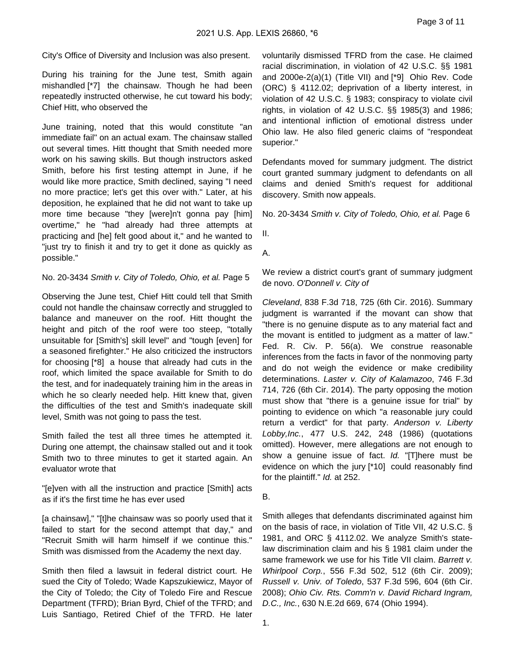City's Office of Diversity and Inclusion was also present.

During his training for the June test, Smith again mishandled [\*7] the chainsaw. Though he had been repeatedly instructed otherwise, he cut toward his body; Chief Hitt, who observed the

June training, noted that this would constitute "an immediate fail" on an actual exam. The chainsaw stalled out several times. Hitt thought that Smith needed more work on his sawing skills. But though instructors asked Smith, before his first testing attempt in June, if he would like more practice, Smith declined, saying "I need no more practice; let's get this over with." Later, at his deposition, he explained that he did not want to take up more time because "they [were]n't gonna pay [him] overtime," he "had already had three attempts at practicing and [he] felt good about it," and he wanted to "just try to finish it and try to get it done as quickly as possible."

No. 20-3434 Smith v. City of Toledo, Ohio, et al. Page 5

Observing the June test, Chief Hitt could tell that Smith could not handle the chainsaw correctly and struggled to balance and maneuver on the roof. Hitt thought the height and pitch of the roof were too steep, "totally unsuitable for [Smith's] skill level" and "tough [even] for a seasoned firefighter." He also criticized the instructors for choosing [\*8] a house that already had cuts in the roof, which limited the space available for Smith to do the test, and for inadequately training him in the areas in which he so clearly needed help. Hitt knew that, given the difficulties of the test and Smith's inadequate skill level, Smith was not going to pass the test.

Smith failed the test all three times he attempted it. During one attempt, the chainsaw stalled out and it took Smith two to three minutes to get it started again. An evaluator wrote that

"[e]ven with all the instruction and practice [Smith] acts as if it's the first time he has ever used

[a chainsaw]," "[t]he chainsaw was so poorly used that it failed to start for the second attempt that day," and "Recruit Smith will harm himself if we continue this." Smith was dismissed from the Academy the next day.

Smith then filed a lawsuit in federal district court. He sued the City of Toledo; Wade Kapszukiewicz, Mayor of the City of Toledo; the City of Toledo Fire and Rescue Department (TFRD); Brian Byrd, Chief of the TFRD; and Luis Santiago, Retired Chief of the TFRD. He later voluntarily dismissed TFRD from the case. He claimed racial discrimination, in violation of 42 U.S.C. §§ 1981 and 2000e-2(a)(1) (Title VII) and [\*9] Ohio Rev. Code (ORC) § 4112.02; deprivation of a liberty interest, in violation of 42 U.S.C. § 1983; conspiracy to violate civil rights, in violation of 42 U.S.C. §§ 1985(3) and 1986; and intentional infliction of emotional distress under Ohio law. He also filed generic claims of "respondeat superior."

Defendants moved for summary judgment. The district court granted summary judgment to defendants on all claims and denied Smith's request for additional discovery. Smith now appeals.

No. 20-3434 Smith v. City of Toledo, Ohio, et al. Page 6

II.

A.

We review a district court's grant of summary judgment de novo. O'Donnell v. City of

Cleveland, 838 F.3d 718, 725 (6th Cir. 2016). Summary judgment is warranted if the movant can show that "there is no genuine dispute as to any material fact and the movant is entitled to judgment as a matter of law." Fed. R. Civ. P. 56(a). We construe reasonable inferences from the facts in favor of the nonmoving party and do not weigh the evidence or make credibility determinations. Laster v. City of Kalamazoo, 746 F.3d 714, 726 (6th Cir. 2014). The party opposing the motion must show that "there is a genuine issue for trial" by pointing to evidence on which "a reasonable jury could return a verdict" for that party. Anderson v. Liberty Lobby,Inc., 477 U.S. 242, 248 (1986) (quotations omitted). However, mere allegations are not enough to show a genuine issue of fact. Id. "[T]here must be evidence on which the jury [\*10] could reasonably find for the plaintiff." *Id.* at 252.

#### B.

Smith alleges that defendants discriminated against him on the basis of race, in violation of Title VII, 42 U.S.C. § 1981, and ORC § 4112.02. We analyze Smith's statelaw discrimination claim and his § 1981 claim under the same framework we use for his Title VII claim. Barrett v. Whirlpool Corp., 556 F.3d 502, 512 (6th Cir. 2009); Russell v. Univ. of Toledo, 537 F.3d 596, 604 (6th Cir. 2008); Ohio Civ. Rts. Comm'n v. David Richard Ingram, D.C., Inc., 630 N.E.2d 669, 674 (Ohio 1994).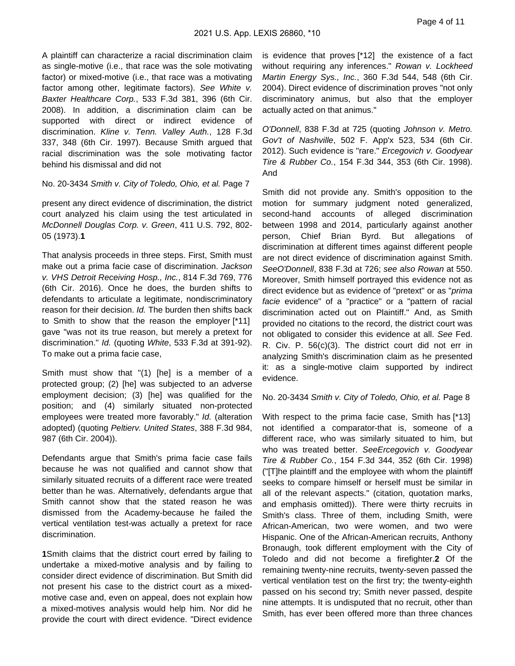A plaintiff can characterize a racial discrimination claim as single-motive (i.e., that race was the sole motivating factor) or mixed-motive (i.e., that race was a motivating factor among other, legitimate factors). See White v. Baxter Healthcare Corp., 533 F.3d 381, 396 (6th Cir. 2008). In addition, a discrimination claim can be supported with direct or indirect evidence of discrimination. Kline v. Tenn. Valley Auth., 128 F.3d 337, 348 (6th Cir. 1997). Because Smith argued that racial discrimination was the sole motivating factor behind his dismissal and did not

No. 20-3434 Smith v. City of Toledo, Ohio, et al. Page 7

present any direct evidence of discrimination, the district court analyzed his claim using the test articulated in McDonnell Douglas Corp. v. Green, 411 U.S. 792, 802- 05 (1973).**1**

That analysis proceeds in three steps. First, Smith must make out a prima facie case of discrimination. Jackson v. VHS Detroit Receiving Hosp., Inc., 814 F.3d 769, 776 (6th Cir. 2016). Once he does, the burden shifts to defendants to articulate a legitimate, nondiscriminatory reason for their decision. Id. The burden then shifts back to Smith to show that the reason the employer [\*11] gave "was not its true reason, but merely a pretext for discrimination." Id. (quoting White, 533 F.3d at 391-92). To make out a prima facie case,

Smith must show that "(1) [he] is a member of a protected group; (2) [he] was subjected to an adverse employment decision; (3) [he] was qualified for the position; and (4) similarly situated non-protected employees were treated more favorably." Id. (alteration adopted) (quoting Peltierv. United States, 388 F.3d 984, 987 (6th Cir. 2004)).

Defendants argue that Smith's prima facie case fails because he was not qualified and cannot show that similarly situated recruits of a different race were treated better than he was. Alternatively, defendants argue that Smith cannot show that the stated reason he was dismissed from the Academy-because he failed the vertical ventilation test-was actually a pretext for race discrimination.

**1**Smith claims that the district court erred by failing to undertake a mixed-motive analysis and by failing to consider direct evidence of discrimination. But Smith did not present his case to the district court as a mixedmotive case and, even on appeal, does not explain how a mixed-motives analysis would help him. Nor did he provide the court with direct evidence. "Direct evidence

is evidence that proves [\*12] the existence of a fact without requiring any inferences." Rowan v. Lockheed Martin Energy Sys., Inc., 360 F.3d 544, 548 (6th Cir. 2004). Direct evidence of discrimination proves "not only discriminatory animus, but also that the employer actually acted on that animus."

O'Donnell, 838 F.3d at 725 (quoting Johnson v. Metro. Gov't of Nashville, 502 F. App'x 523, 534 (6th Cir. 2012). Such evidence is "rare." Ercegovich v. Goodyear Tire & Rubber Co., 154 F.3d 344, 353 (6th Cir. 1998). And

Smith did not provide any. Smith's opposition to the motion for summary judgment noted generalized, second-hand accounts of alleged discrimination between 1998 and 2014, particularly against another person, Chief Brian Byrd. But allegations of discrimination at different times against different people are not direct evidence of discrimination against Smith. SeeO'Donnell, 838 F.3d at 726; see also Rowan at 550. Moreover, Smith himself portrayed this evidence not as direct evidence but as evidence of "pretext" or as "prima facie evidence" of a "practice" or a "pattern of racial discrimination acted out on Plaintiff." And, as Smith provided no citations to the record, the district court was not obligated to consider this evidence at all. See Fed. R. Civ. P. 56(c)(3). The district court did not err in analyzing Smith's discrimination claim as he presented it: as a single-motive claim supported by indirect evidence.

No. 20-3434 Smith v. City of Toledo, Ohio, et al. Page 8

With respect to the prima facie case, Smith has [\*13] not identified a comparator-that is, someone of a different race, who was similarly situated to him, but who was treated better. SeeErcegovich v. Goodyear Tire & Rubber Co., 154 F.3d 344, 352 (6th Cir. 1998) ("[T]he plaintiff and the employee with whom the plaintiff seeks to compare himself or herself must be similar in all of the relevant aspects." (citation, quotation marks, and emphasis omitted)). There were thirty recruits in Smith's class. Three of them, including Smith, were African-American, two were women, and two were Hispanic. One of the African-American recruits, Anthony Bronaugh, took different employment with the City of Toledo and did not become a firefighter.**2** Of the remaining twenty-nine recruits, twenty-seven passed the vertical ventilation test on the first try; the twenty-eighth passed on his second try; Smith never passed, despite nine attempts. It is undisputed that no recruit, other than Smith, has ever been offered more than three chances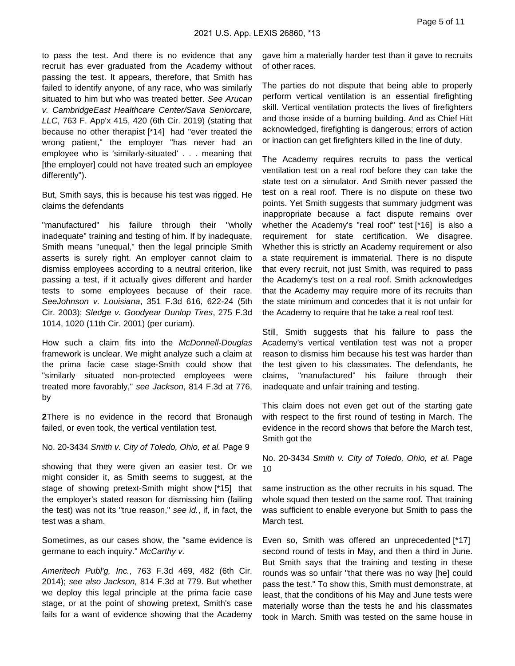to pass the test. And there is no evidence that any recruit has ever graduated from the Academy without passing the test. It appears, therefore, that Smith has failed to identify anyone, of any race, who was similarly situated to him but who was treated better. See Arucan v. CambridgeEast Healthcare Center/Sava Seniorcare, LLC, 763 F. App'x 415, 420 (6th Cir. 2019) (stating that because no other therapist [\*14] had "ever treated the wrong patient," the employer "has never had an employee who is 'similarly-situated' . . . meaning that [the employer] could not have treated such an employee differently").

But, Smith says, this is because his test was rigged. He claims the defendants

"manufactured" his failure through their "wholly inadequate" training and testing of him. If by inadequate, Smith means "unequal," then the legal principle Smith asserts is surely right. An employer cannot claim to dismiss employees according to a neutral criterion, like passing a test, if it actually gives different and harder tests to some employees because of their race. SeeJohnson v. Louisiana, 351 F.3d 616, 622-24 (5th Cir. 2003); Sledge v. Goodyear Dunlop Tires, 275 F.3d 1014, 1020 (11th Cir. 2001) (per curiam).

How such a claim fits into the McDonnell-Douglas framework is unclear. We might analyze such a claim at the prima facie case stage-Smith could show that "similarly situated non-protected employees were treated more favorably," see Jackson, 814 F.3d at 776, by

**2**There is no evidence in the record that Bronaugh failed, or even took, the vertical ventilation test.

No. 20-3434 Smith v. City of Toledo, Ohio, et al. Page 9

showing that they were given an easier test. Or we might consider it, as Smith seems to suggest, at the stage of showing pretext-Smith might show [\*15] that the employer's stated reason for dismissing him (failing the test) was not its "true reason," see id., if, in fact, the test was a sham.

Sometimes, as our cases show, the "same evidence is germane to each inquiry." McCarthy v.

Ameritech Publ'g, Inc., 763 F.3d 469, 482 (6th Cir. 2014); see also Jackson, 814 F.3d at 779. But whether we deploy this legal principle at the prima facie case stage, or at the point of showing pretext, Smith's case fails for a want of evidence showing that the Academy gave him a materially harder test than it gave to recruits of other races.

The parties do not dispute that being able to properly perform vertical ventilation is an essential firefighting skill. Vertical ventilation protects the lives of firefighters and those inside of a burning building. And as Chief Hitt acknowledged, firefighting is dangerous; errors of action or inaction can get firefighters killed in the line of duty.

The Academy requires recruits to pass the vertical ventilation test on a real roof before they can take the state test on a simulator. And Smith never passed the test on a real roof. There is no dispute on these two points. Yet Smith suggests that summary judgment was inappropriate because a fact dispute remains over whether the Academy's "real roof" test [\*16] is also a requirement for state certification. We disagree. Whether this is strictly an Academy requirement or also a state requirement is immaterial. There is no dispute that every recruit, not just Smith, was required to pass the Academy's test on a real roof. Smith acknowledges that the Academy may require more of its recruits than the state minimum and concedes that it is not unfair for the Academy to require that he take a real roof test.

Still, Smith suggests that his failure to pass the Academy's vertical ventilation test was not a proper reason to dismiss him because his test was harder than the test given to his classmates. The defendants, he claims, "manufactured" his failure through their inadequate and unfair training and testing.

This claim does not even get out of the starting gate with respect to the first round of testing in March. The evidence in the record shows that before the March test, Smith got the

No. 20-3434 Smith v. City of Toledo, Ohio, et al. Page 10

same instruction as the other recruits in his squad. The whole squad then tested on the same roof. That training was sufficient to enable everyone but Smith to pass the March test.

Even so, Smith was offered an unprecedented [\*17] second round of tests in May, and then a third in June. But Smith says that the training and testing in these rounds was so unfair "that there was no way [he] could pass the test." To show this, Smith must demonstrate, at least, that the conditions of his May and June tests were materially worse than the tests he and his classmates took in March. Smith was tested on the same house in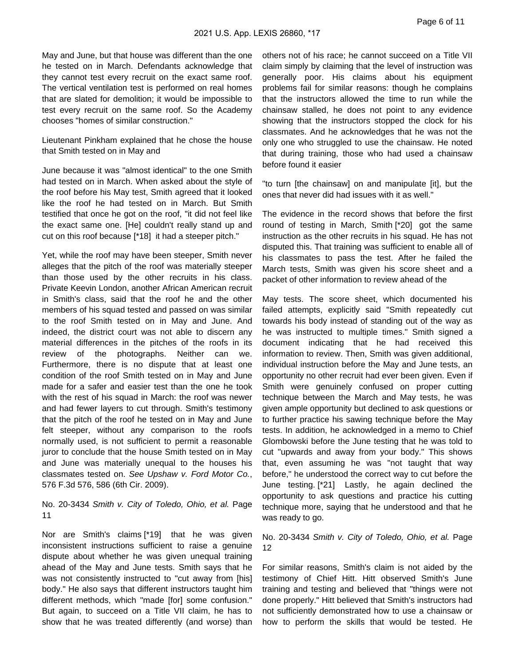May and June, but that house was different than the one he tested on in March. Defendants acknowledge that they cannot test every recruit on the exact same roof. The vertical ventilation test is performed on real homes that are slated for demolition; it would be impossible to test every recruit on the same roof. So the Academy chooses "homes of similar construction."

Lieutenant Pinkham explained that he chose the house that Smith tested on in May and

June because it was "almost identical" to the one Smith had tested on in March. When asked about the style of the roof before his May test, Smith agreed that it looked like the roof he had tested on in March. But Smith testified that once he got on the roof, "it did not feel like the exact same one. [He] couldn't really stand up and cut on this roof because [\*18] it had a steeper pitch."

Yet, while the roof may have been steeper, Smith never alleges that the pitch of the roof was materially steeper than those used by the other recruits in his class. Private Keevin London, another African American recruit in Smith's class, said that the roof he and the other members of his squad tested and passed on was similar to the roof Smith tested on in May and June. And indeed, the district court was not able to discern any material differences in the pitches of the roofs in its review of the photographs. Neither can we. Furthermore, there is no dispute that at least one condition of the roof Smith tested on in May and June made for a safer and easier test than the one he took with the rest of his squad in March: the roof was newer and had fewer layers to cut through. Smith's testimony that the pitch of the roof he tested on in May and June felt steeper, without any comparison to the roofs normally used, is not sufficient to permit a reasonable juror to conclude that the house Smith tested on in May and June was materially unequal to the houses his classmates tested on. See Upshaw v. Ford Motor Co., 576 F.3d 576, 586 (6th Cir. 2009).

## No. 20-3434 Smith v. City of Toledo, Ohio, et al. Page 11

Nor are Smith's claims [\*19] that he was given inconsistent instructions sufficient to raise a genuine dispute about whether he was given unequal training ahead of the May and June tests. Smith says that he was not consistently instructed to "cut away from [his] body." He also says that different instructors taught him different methods, which "made [for] some confusion." But again, to succeed on a Title VII claim, he has to show that he was treated differently (and worse) than

others not of his race; he cannot succeed on a Title VII claim simply by claiming that the level of instruction was generally poor. His claims about his equipment problems fail for similar reasons: though he complains that the instructors allowed the time to run while the chainsaw stalled, he does not point to any evidence showing that the instructors stopped the clock for his classmates. And he acknowledges that he was not the only one who struggled to use the chainsaw. He noted that during training, those who had used a chainsaw before found it easier

"to turn [the chainsaw] on and manipulate [it], but the ones that never did had issues with it as well."

The evidence in the record shows that before the first round of testing in March, Smith [\*20] got the same instruction as the other recruits in his squad. He has not disputed this. That training was sufficient to enable all of his classmates to pass the test. After he failed the March tests, Smith was given his score sheet and a packet of other information to review ahead of the

May tests. The score sheet, which documented his failed attempts, explicitly said "Smith repeatedly cut towards his body instead of standing out of the way as he was instructed to multiple times." Smith signed a document indicating that he had received this information to review. Then, Smith was given additional, individual instruction before the May and June tests, an opportunity no other recruit had ever been given. Even if Smith were genuinely confused on proper cutting technique between the March and May tests, he was given ample opportunity but declined to ask questions or to further practice his sawing technique before the May tests. In addition, he acknowledged in a memo to Chief Glombowski before the June testing that he was told to cut "upwards and away from your body." This shows that, even assuming he was "not taught that way before," he understood the correct way to cut before the June testing. [\*21] Lastly, he again declined the opportunity to ask questions and practice his cutting technique more, saying that he understood and that he was ready to go.

No. 20-3434 Smith v. City of Toledo, Ohio, et al. Page 12

For similar reasons, Smith's claim is not aided by the testimony of Chief Hitt. Hitt observed Smith's June training and testing and believed that "things were not done properly." Hitt believed that Smith's instructors had not sufficiently demonstrated how to use a chainsaw or how to perform the skills that would be tested. He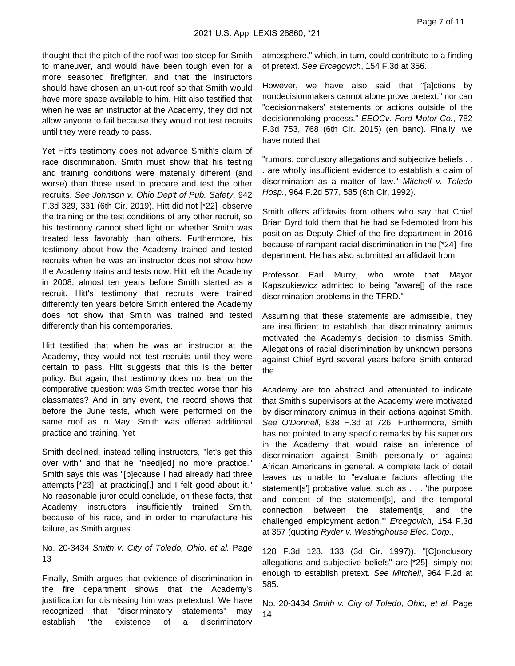thought that the pitch of the roof was too steep for Smith to maneuver, and would have been tough even for a more seasoned firefighter, and that the instructors should have chosen an un-cut roof so that Smith would have more space available to him. Hitt also testified that when he was an instructor at the Academy, they did not allow anyone to fail because they would not test recruits until they were ready to pass.

Yet Hitt's testimony does not advance Smith's claim of race discrimination. Smith must show that his testing and training conditions were materially different (and worse) than those used to prepare and test the other recruits. See Johnson v. Ohio Dep't of Pub. Safety, 942 F.3d 329, 331 (6th Cir. 2019). Hitt did not [\*22] observe the training or the test conditions of any other recruit, so his testimony cannot shed light on whether Smith was treated less favorably than others. Furthermore, his testimony about how the Academy trained and tested recruits when he was an instructor does not show how the Academy trains and tests now. Hitt left the Academy in 2008, almost ten years before Smith started as a recruit. Hitt's testimony that recruits were trained differently ten years before Smith entered the Academy does not show that Smith was trained and tested differently than his contemporaries.

Hitt testified that when he was an instructor at the Academy, they would not test recruits until they were certain to pass. Hitt suggests that this is the better policy. But again, that testimony does not bear on the comparative question: was Smith treated worse than his classmates? And in any event, the record shows that before the June tests, which were performed on the same roof as in May, Smith was offered additional practice and training. Yet

Smith declined, instead telling instructors, "let's get this over with" and that he "need[ed] no more practice." Smith says this was "[b]ecause I had already had three attempts [\*23] at practicing[,] and I felt good about it." No reasonable juror could conclude, on these facts, that Academy instructors insufficiently trained Smith, because of his race, and in order to manufacture his failure, as Smith argues.

No. 20-3434 Smith v. City of Toledo, Ohio, et al. Page 13

Finally, Smith argues that evidence of discrimination in the fire department shows that the Academy's justification for dismissing him was pretextual. We have recognized that "discriminatory statements" may establish "the existence of a discriminatory atmosphere," which, in turn, could contribute to a finding of pretext. See Ercegovich, 154 F.3d at 356.

However, we have also said that "[a]ctions by nondecisionmakers cannot alone prove pretext," nor can "decisionmakers' statements or actions outside of the decisionmaking process." EEOCv. Ford Motor Co., 782 F.3d 753, 768 (6th Cir. 2015) (en banc). Finally, we have noted that

"rumors, conclusory allegations and subjective beliefs . . . are wholly insufficient evidence to establish a claim of discrimination as a matter of law." Mitchell v. Toledo Hosp., 964 F.2d 577, 585 (6th Cir. 1992).

Smith offers affidavits from others who say that Chief Brian Byrd told them that he had self-demoted from his position as Deputy Chief of the fire department in 2016 because of rampant racial discrimination in the [\*24] fire department. He has also submitted an affidavit from

Professor Earl Murry, who wrote that Mayor Kapszukiewicz admitted to being "aware[] of the race discrimination problems in the TFRD."

Assuming that these statements are admissible, they are insufficient to establish that discriminatory animus motivated the Academy's decision to dismiss Smith. Allegations of racial discrimination by unknown persons against Chief Byrd several years before Smith entered the

Academy are too abstract and attenuated to indicate that Smith's supervisors at the Academy were motivated by discriminatory animus in their actions against Smith. See O'Donnell, 838 F.3d at 726. Furthermore, Smith has not pointed to any specific remarks by his superiors in the Academy that would raise an inference of discrimination against Smith personally or against African Americans in general. A complete lack of detail leaves us unable to "evaluate factors affecting the statement[s'] probative value, such as . . . 'the purpose and content of the statement[s], and the temporal connection between the statement[s] and the challenged employment action.'" Ercegovich, 154 F.3d at 357 (quoting Ryder v. Westinghouse Elec. Corp.,

128 F.3d 128, 133 (3d Cir. 1997)). "[C]onclusory allegations and subjective beliefs" are [\*25] simply not enough to establish pretext. See Mitchell, 964 F.2d at 585.

No. 20-3434 Smith v. City of Toledo, Ohio, et al. Page 14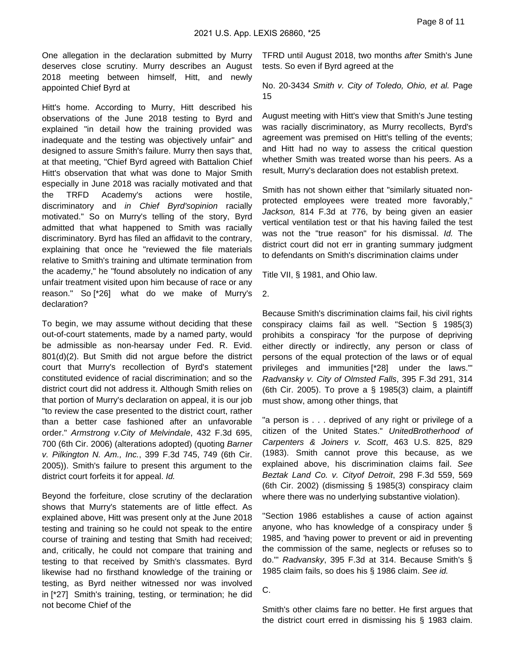One allegation in the declaration submitted by Murry deserves close scrutiny. Murry describes an August 2018 meeting between himself, Hitt, and newly appointed Chief Byrd at

Hitt's home. According to Murry, Hitt described his observations of the June 2018 testing to Byrd and explained "in detail how the training provided was inadequate and the testing was objectively unfair" and designed to assure Smith's failure. Murry then says that, at that meeting, "Chief Byrd agreed with Battalion Chief Hitt's observation that what was done to Major Smith especially in June 2018 was racially motivated and that the TRFD Academy's actions were hostile, discriminatory and in Chief Byrd'sopinion racially motivated." So on Murry's telling of the story, Byrd admitted that what happened to Smith was racially discriminatory. Byrd has filed an affidavit to the contrary, explaining that once he "reviewed the file materials relative to Smith's training and ultimate termination from the academy," he "found absolutely no indication of any unfair treatment visited upon him because of race or any reason." So [\*26] what do we make of Murry's declaration?

To begin, we may assume without deciding that these out-of-court statements, made by a named party, would be admissible as non-hearsay under Fed. R. Evid. 801(d)(2). But Smith did not argue before the district court that Murry's recollection of Byrd's statement constituted evidence of racial discrimination; and so the district court did not address it. Although Smith relies on that portion of Murry's declaration on appeal, it is our job "to review the case presented to the district court, rather than a better case fashioned after an unfavorable order." Armstrong v.City of Melvindale, 432 F.3d 695, 700 (6th Cir. 2006) (alterations adopted) (quoting Barner v. Pilkington N. Am., Inc., 399 F.3d 745, 749 (6th Cir. 2005)). Smith's failure to present this argument to the district court forfeits it for appeal. Id.

Beyond the forfeiture, close scrutiny of the declaration shows that Murry's statements are of little effect. As explained above, Hitt was present only at the June 2018 testing and training so he could not speak to the entire course of training and testing that Smith had received; and, critically, he could not compare that training and testing to that received by Smith's classmates. Byrd likewise had no firsthand knowledge of the training or testing, as Byrd neither witnessed nor was involved in [\*27] Smith's training, testing, or termination; he did not become Chief of the

TFRD until August 2018, two months after Smith's June tests. So even if Byrd agreed at the

No. 20-3434 Smith v. City of Toledo, Ohio, et al. Page 15

August meeting with Hitt's view that Smith's June testing was racially discriminatory, as Murry recollects, Byrd's agreement was premised on Hitt's telling of the events; and Hitt had no way to assess the critical question whether Smith was treated worse than his peers. As a result, Murry's declaration does not establish pretext.

Smith has not shown either that "similarly situated nonprotected employees were treated more favorably," Jackson, 814 F.3d at 776, by being given an easier vertical ventilation test or that his having failed the test was not the "true reason" for his dismissal. *Id.* The district court did not err in granting summary judgment to defendants on Smith's discrimination claims under

Title VII, § 1981, and Ohio law.

2.

Because Smith's discrimination claims fail, his civil rights conspiracy claims fail as well. "Section § 1985(3) prohibits a conspiracy 'for the purpose of depriving either directly or indirectly, any person or class of persons of the equal protection of the laws or of equal privileges and immunities [\*28] under the laws.'" Radvansky v. City of Olmsted Falls, 395 F.3d 291, 314 (6th Cir. 2005). To prove a  $\S$  1985(3) claim, a plaintiff must show, among other things, that

"a person is . . . deprived of any right or privilege of a citizen of the United States." UnitedBrotherhood of Carpenters & Joiners v. Scott, 463 U.S. 825, 829 (1983). Smith cannot prove this because, as we explained above, his discrimination claims fail. See Beztak Land Co. v. Cityof Detroit, 298 F.3d 559, 569 (6th Cir. 2002) (dismissing § 1985(3) conspiracy claim where there was no underlying substantive violation).

"Section 1986 establishes a cause of action against anyone, who has knowledge of a conspiracy under § 1985, and 'having power to prevent or aid in preventing the commission of the same, neglects or refuses so to do.'" Radvansky, 395 F.3d at 314. Because Smith's § 1985 claim fails, so does his § 1986 claim. See id.

C.

Smith's other claims fare no better. He first argues that the district court erred in dismissing his § 1983 claim.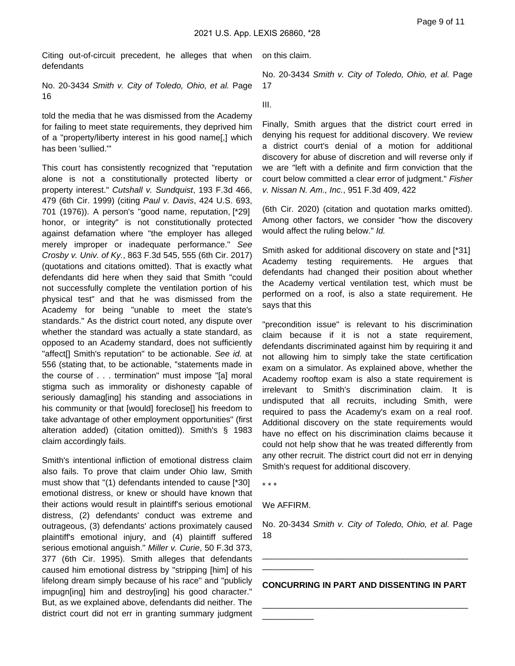Citing out-of-circuit precedent, he alleges that when defendants

No. 20-3434 Smith v. City of Toledo, Ohio, et al. Page 16

told the media that he was dismissed from the Academy for failing to meet state requirements, they deprived him of a "property/liberty interest in his good name[,] which has been 'sullied.'"

This court has consistently recognized that "reputation alone is not a constitutionally protected liberty or property interest." Cutshall v. Sundquist, 193 F.3d 466, 479 (6th Cir. 1999) (citing Paul v. Davis, 424 U.S. 693, 701 (1976)). A person's "good name, reputation, [\*29] honor, or integrity" is not constitutionally protected against defamation where "the employer has alleged merely improper or inadequate performance." See Crosby v. Univ. of Ky., 863 F.3d 545, 555 (6th Cir. 2017) (quotations and citations omitted). That is exactly what defendants did here when they said that Smith "could not successfully complete the ventilation portion of his physical test" and that he was dismissed from the Academy for being "unable to meet the state's standards." As the district court noted, any dispute over whether the standard was actually a state standard, as opposed to an Academy standard, does not sufficiently "affect[] Smith's reputation" to be actionable. See id. at 556 (stating that, to be actionable, "statements made in the course of . . . termination" must impose "[a] moral stigma such as immorality or dishonesty capable of seriously damag[ing] his standing and associations in his community or that [would] foreclose[] his freedom to take advantage of other employment opportunities" (first alteration added) (citation omitted)). Smith's § 1983 claim accordingly fails.

Smith's intentional infliction of emotional distress claim also fails. To prove that claim under Ohio law, Smith must show that "(1) defendants intended to cause [\*30] emotional distress, or knew or should have known that their actions would result in plaintiff's serious emotional distress, (2) defendants' conduct was extreme and outrageous, (3) defendants' actions proximately caused plaintiff's emotional injury, and (4) plaintiff suffered serious emotional anguish." Miller v. Curie, 50 F.3d 373, 377 (6th Cir. 1995). Smith alleges that defendants caused him emotional distress by "stripping [him] of his lifelong dream simply because of his race" and "publicly impugn[ing] him and destroy[ing] his good character." But, as we explained above, defendants did neither. The district court did not err in granting summary judgment

on this claim.

No. 20-3434 Smith v. City of Toledo, Ohio, et al. Page 17

III.

Finally, Smith argues that the district court erred in denying his request for additional discovery. We review a district court's denial of a motion for additional discovery for abuse of discretion and will reverse only if we are "left with a definite and firm conviction that the court below committed a clear error of judgment." Fisher v. Nissan N. Am., Inc., 951 F.3d 409, 422

(6th Cir. 2020) (citation and quotation marks omitted). Among other factors, we consider "how the discovery would affect the ruling below." Id.

Smith asked for additional discovery on state and [\*31] Academy testing requirements. He argues that defendants had changed their position about whether the Academy vertical ventilation test, which must be performed on a roof, is also a state requirement. He says that this

"precondition issue" is relevant to his discrimination claim because if it is not a state requirement, defendants discriminated against him by requiring it and not allowing him to simply take the state certification exam on a simulator. As explained above, whether the Academy rooftop exam is also a state requirement is irrelevant to Smith's discrimination claim. It is undisputed that all recruits, including Smith, were required to pass the Academy's exam on a real roof. Additional discovery on the state requirements would have no effect on his discrimination claims because it could not help show that he was treated differently from any other recruit. The district court did not err in denying Smith's request for additional discovery.

\* \* \*

We AFFIRM.

\_\_\_\_\_\_\_\_\_\_\_

\_\_\_\_\_\_\_\_\_\_\_

No. 20-3434 Smith v. City of Toledo, Ohio, et al. Page 18

**CONCURRING IN PART AND DISSENTING IN PART**

\_\_\_\_\_\_\_\_\_\_\_\_\_\_\_\_\_\_\_\_\_\_\_\_\_\_\_\_\_\_\_\_\_\_\_\_\_\_\_\_\_\_\_\_

\_\_\_\_\_\_\_\_\_\_\_\_\_\_\_\_\_\_\_\_\_\_\_\_\_\_\_\_\_\_\_\_\_\_\_\_\_\_\_\_\_\_\_\_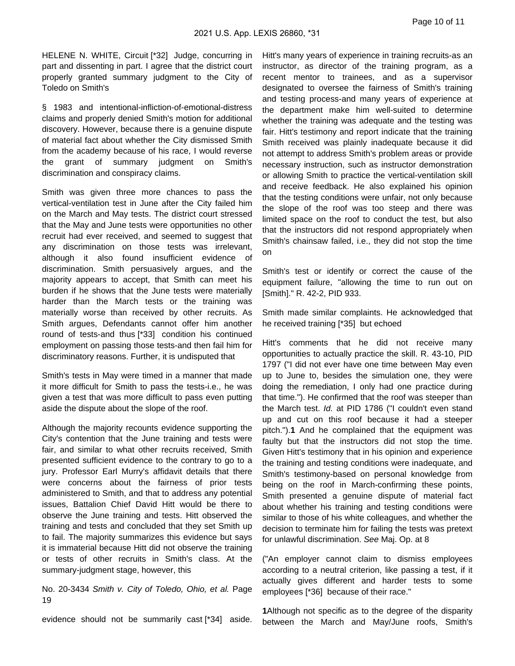HELENE N. WHITE, Circuit [\*32] Judge, concurring in part and dissenting in part. I agree that the district court properly granted summary judgment to the City of Toledo on Smith's

§ 1983 and intentional-infliction-of-emotional-distress claims and properly denied Smith's motion for additional discovery. However, because there is a genuine dispute of material fact about whether the City dismissed Smith from the academy because of his race, I would reverse the grant of summary judgment on Smith's discrimination and conspiracy claims.

Smith was given three more chances to pass the vertical-ventilation test in June after the City failed him on the March and May tests. The district court stressed that the May and June tests were opportunities no other recruit had ever received, and seemed to suggest that any discrimination on those tests was irrelevant, although it also found insufficient evidence of discrimination. Smith persuasively argues, and the majority appears to accept, that Smith can meet his burden if he shows that the June tests were materially harder than the March tests or the training was materially worse than received by other recruits. As Smith argues, Defendants cannot offer him another round of tests-and thus [\*33] condition his continued employment on passing those tests-and then fail him for discriminatory reasons. Further, it is undisputed that

Smith's tests in May were timed in a manner that made it more difficult for Smith to pass the tests-i.e., he was given a test that was more difficult to pass even putting aside the dispute about the slope of the roof.

Although the majority recounts evidence supporting the City's contention that the June training and tests were fair, and similar to what other recruits received, Smith presented sufficient evidence to the contrary to go to a jury. Professor Earl Murry's affidavit details that there were concerns about the fairness of prior tests administered to Smith, and that to address any potential issues, Battalion Chief David Hitt would be there to observe the June training and tests. Hitt observed the training and tests and concluded that they set Smith up to fail. The majority summarizes this evidence but says it is immaterial because Hitt did not observe the training or tests of other recruits in Smith's class. At the summary-judgment stage, however, this

No. 20-3434 Smith v. City of Toledo, Ohio, et al. Page 19

evidence should not be summarily cast [\*34] aside.

Hitt's many years of experience in training recruits-as an instructor, as director of the training program, as a recent mentor to trainees, and as a supervisor designated to oversee the fairness of Smith's training and testing process-and many years of experience at the department make him well-suited to determine whether the training was adequate and the testing was fair. Hitt's testimony and report indicate that the training Smith received was plainly inadequate because it did not attempt to address Smith's problem areas or provide necessary instruction, such as instructor demonstration or allowing Smith to practice the vertical-ventilation skill and receive feedback. He also explained his opinion that the testing conditions were unfair, not only because the slope of the roof was too steep and there was limited space on the roof to conduct the test, but also that the instructors did not respond appropriately when Smith's chainsaw failed, i.e., they did not stop the time on

Smith's test or identify or correct the cause of the equipment failure, "allowing the time to run out on [Smith]." R. 42-2, PID 933.

Smith made similar complaints. He acknowledged that he received training [\*35] but echoed

Hitt's comments that he did not receive many opportunities to actually practice the skill. R. 43-10, PID 1797 ("I did not ever have one time between May even up to June to, besides the simulation one, they were doing the remediation, I only had one practice during that time."). He confirmed that the roof was steeper than the March test. Id. at PID 1786 ("I couldn't even stand up and cut on this roof because it had a steeper pitch.").**1** And he complained that the equipment was faulty but that the instructors did not stop the time. Given Hitt's testimony that in his opinion and experience the training and testing conditions were inadequate, and Smith's testimony-based on personal knowledge from being on the roof in March-confirming these points, Smith presented a genuine dispute of material fact about whether his training and testing conditions were similar to those of his white colleagues, and whether the decision to terminate him for failing the tests was pretext for unlawful discrimination. See Maj. Op. at 8

("An employer cannot claim to dismiss employees according to a neutral criterion, like passing a test, if it actually gives different and harder tests to some employees [\*36] because of their race."

**1**Although not specific as to the degree of the disparity between the March and May/June roofs, Smith's